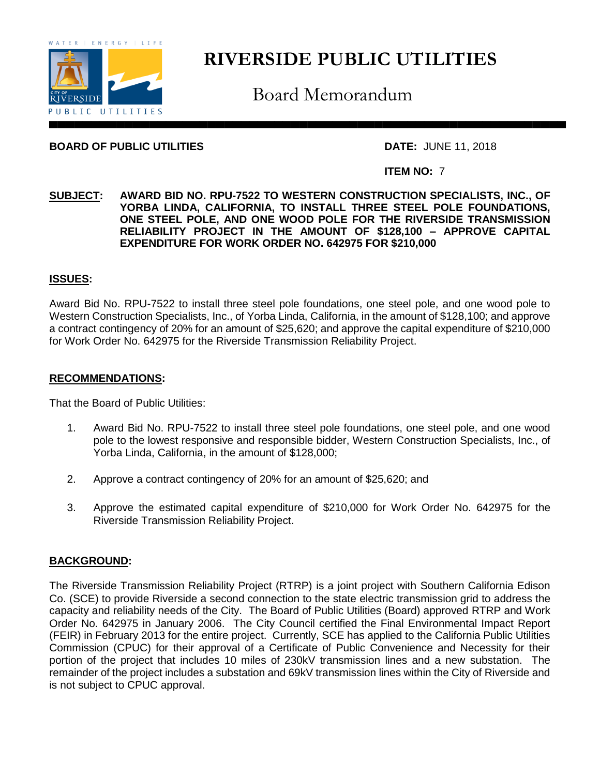

# **RIVERSIDE PUBLIC UTILITIES**

Board Memorandum

### **BOARD OF PUBLIC UTILITIES** DATE: JUNE 11, 2018

**ITEM NO:** 7

#### **SUBJECT: AWARD BID NO. RPU-7522 TO WESTERN CONSTRUCTION SPECIALISTS, INC., OF YORBA LINDA, CALIFORNIA, TO INSTALL THREE STEEL POLE FOUNDATIONS, ONE STEEL POLE, AND ONE WOOD POLE FOR THE RIVERSIDE TRANSMISSION RELIABILITY PROJECT IN THE AMOUNT OF \$128,100 – APPROVE CAPITAL EXPENDITURE FOR WORK ORDER NO. 642975 FOR \$210,000**

### **ISSUES:**

Award Bid No. RPU-7522 to install three steel pole foundations, one steel pole, and one wood pole to Western Construction Specialists, Inc., of Yorba Linda, California, in the amount of \$128,100; and approve a contract contingency of 20% for an amount of \$25,620; and approve the capital expenditure of \$210,000 for Work Order No. 642975 for the Riverside Transmission Reliability Project.

### **RECOMMENDATIONS:**

That the Board of Public Utilities:

- 1. Award Bid No. RPU-7522 to install three steel pole foundations, one steel pole, and one wood pole to the lowest responsive and responsible bidder, Western Construction Specialists, Inc., of Yorba Linda, California, in the amount of \$128,000;
- 2. Approve a contract contingency of 20% for an amount of \$25,620; and
- 3. Approve the estimated capital expenditure of \$210,000 for Work Order No. 642975 for the Riverside Transmission Reliability Project.

### **BACKGROUND:**

The Riverside Transmission Reliability Project (RTRP) is a joint project with Southern California Edison Co. (SCE) to provide Riverside a second connection to the state electric transmission grid to address the capacity and reliability needs of the City. The Board of Public Utilities (Board) approved RTRP and Work Order No. 642975 in January 2006. The City Council certified the Final Environmental Impact Report (FEIR) in February 2013 for the entire project. Currently, SCE has applied to the California Public Utilities Commission (CPUC) for their approval of a Certificate of Public Convenience and Necessity for their portion of the project that includes 10 miles of 230kV transmission lines and a new substation. The remainder of the project includes a substation and 69kV transmission lines within the City of Riverside and is not subject to CPUC approval.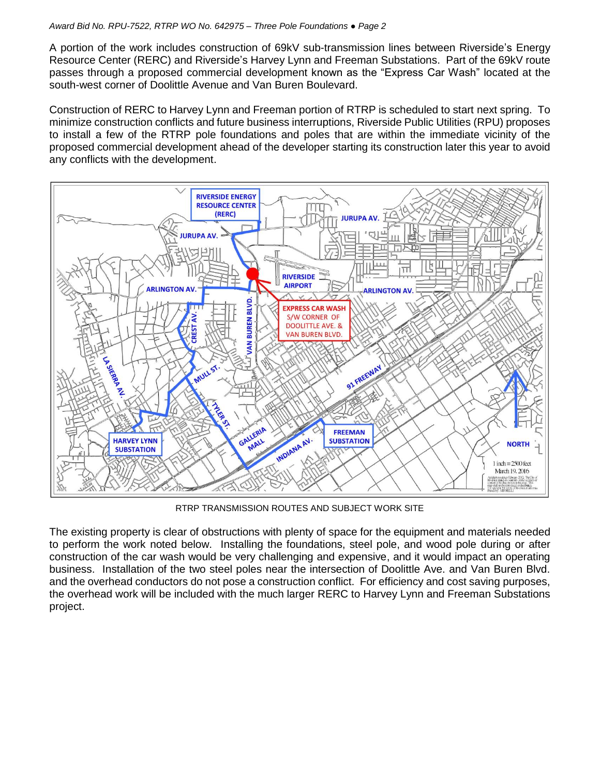#### *Award Bid No. RPU-7522, RTRP WO No. 642975 – Three Pole Foundations ● Page 2*

A portion of the work includes construction of 69kV sub-transmission lines between Riverside's Energy Resource Center (RERC) and Riverside's Harvey Lynn and Freeman Substations. Part of the 69kV route passes through a proposed commercial development known as the "Express Car Wash" located at the south-west corner of Doolittle Avenue and Van Buren Boulevard.

Construction of RERC to Harvey Lynn and Freeman portion of RTRP is scheduled to start next spring. To minimize construction conflicts and future business interruptions, Riverside Public Utilities (RPU) proposes to install a few of the RTRP pole foundations and poles that are within the immediate vicinity of the proposed commercial development ahead of the developer starting its construction later this year to avoid any conflicts with the development.



RTRP TRANSMISSION ROUTES AND SUBJECT WORK SITE

The existing property is clear of obstructions with plenty of space for the equipment and materials needed to perform the work noted below. Installing the foundations, steel pole, and wood pole during or after construction of the car wash would be very challenging and expensive, and it would impact an operating business. Installation of the two steel poles near the intersection of Doolittle Ave. and Van Buren Blvd. and the overhead conductors do not pose a construction conflict. For efficiency and cost saving purposes, the overhead work will be included with the much larger RERC to Harvey Lynn and Freeman Substations project.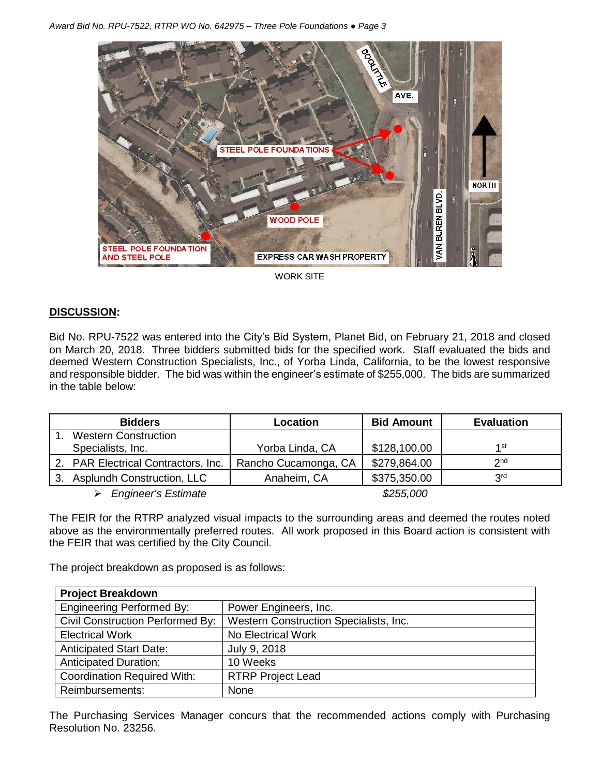

WORK SITE

## **DISCUSSION:**

Bid No. RPU-7522 was entered into the City's Bid System, Planet Bid, on February 21, 2018 and closed on March 20, 2018. Three bidders submitted bids for the specified work. Staff evaluated the bids and deemed Western Construction Specialists, Inc., of Yorba Linda, California, to be the lowest responsive and responsible bidder. The bid was within the engineer's estimate of \$255,000. The bids are summarized in the table below:

|    | <b>Bidders</b>                      | Location             | <b>Bid Amount</b> | <b>Evaluation</b> |
|----|-------------------------------------|----------------------|-------------------|-------------------|
|    | <b>Western Construction</b>         |                      |                   |                   |
|    | Specialists, Inc.                   | Yorba Linda, CA      | \$128,100.00      | 1st               |
|    | 2. PAR Electrical Contractors, Inc. | Rancho Cucamonga, CA | \$279,864.00      | 2 <sub>nd</sub>   |
| 3. | Asplundh Construction, LLC          | Anaheim, CA          | \$375,350.00      | <b>S</b> rd       |
|    | <b>Engineer's Estimate</b>          |                      | \$255,000         |                   |

The FEIR for the RTRP analyzed visual impacts to the surrounding areas and deemed the routes noted above as the environmentally preferred routes. All work proposed in this Board action is consistent with the FEIR that was certified by the City Council.

The project breakdown as proposed is as follows:

| <b>Project Breakdown</b>                |                                        |  |  |  |
|-----------------------------------------|----------------------------------------|--|--|--|
| <b>Engineering Performed By:</b>        | Power Engineers, Inc.                  |  |  |  |
| <b>Civil Construction Performed By:</b> | Western Construction Specialists, Inc. |  |  |  |
| <b>Electrical Work</b>                  | <b>No Electrical Work</b>              |  |  |  |
| <b>Anticipated Start Date:</b>          | July 9, 2018                           |  |  |  |
| <b>Anticipated Duration:</b>            | 10 Weeks                               |  |  |  |
| <b>Coordination Required With:</b>      | <b>RTRP Project Lead</b>               |  |  |  |
| Reimbursements:                         | None                                   |  |  |  |

The Purchasing Services Manager concurs that the recommended actions comply with Purchasing Resolution No. 23256.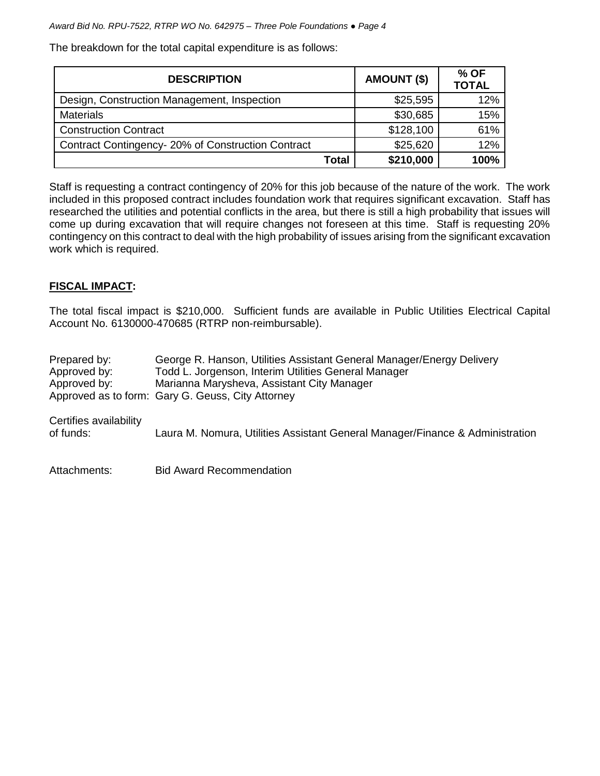The breakdown for the total capital expenditure is as follows:

| <b>DESCRIPTION</b>                                 | AMOUNT (\$) | % OF<br><b>TOTAL</b> |
|----------------------------------------------------|-------------|----------------------|
| Design, Construction Management, Inspection        | \$25,595    | 12%                  |
| <b>Materials</b>                                   | \$30,685    | 15%                  |
| <b>Construction Contract</b>                       | \$128,100   | 61%                  |
| Contract Contingency- 20% of Construction Contract | \$25,620    | 12%                  |
| Total                                              | \$210,000   | 100%                 |

Staff is requesting a contract contingency of 20% for this job because of the nature of the work. The work included in this proposed contract includes foundation work that requires significant excavation. Staff has researched the utilities and potential conflicts in the area, but there is still a high probability that issues will come up during excavation that will require changes not foreseen at this time. Staff is requesting 20% contingency on this contract to deal with the high probability of issues arising from the significant excavation work which is required.

#### **FISCAL IMPACT:**

The total fiscal impact is \$210,000. Sufficient funds are available in Public Utilities Electrical Capital Account No. 6130000-470685 (RTRP non-reimbursable).

| Prepared by:<br>Approved by:<br>Approved by: | George R. Hanson, Utilities Assistant General Manager/Energy Delivery<br>Todd L. Jorgenson, Interim Utilities General Manager<br>Marianna Marysheva, Assistant City Manager<br>Approved as to form: Gary G. Geuss, City Attorney |
|----------------------------------------------|----------------------------------------------------------------------------------------------------------------------------------------------------------------------------------------------------------------------------------|
| Certifies availability<br>of funds:          | Laura M. Nomura, Utilities Assistant General Manager/Finance & Administration                                                                                                                                                    |
| Attachments:                                 | <b>Bid Award Recommendation</b>                                                                                                                                                                                                  |